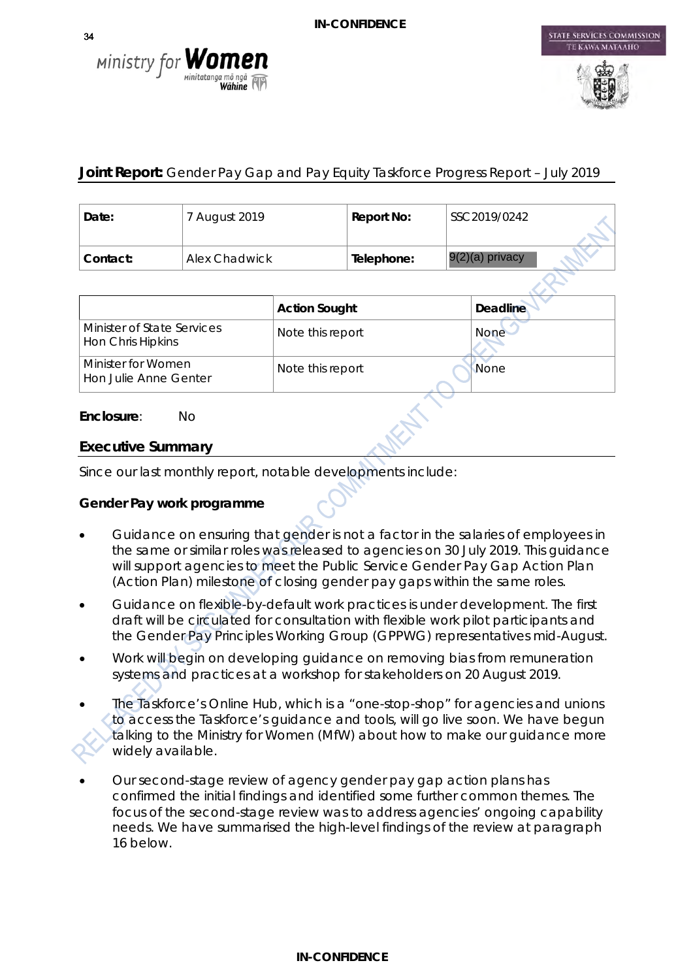



STATE SERVICES COMMISSION

# **Joint Report:** Gender Pay Gap and Pay Equity Taskforce Progress Report – July 2019

| Date:    | 7 August 2019 | Report No: | SSC2019/0242      |
|----------|---------------|------------|-------------------|
| Contact: | Alex Chadwick | Telephone: | $9(2)(a)$ privacy |

|                                                 | <b>Action Sought</b> | <b>Deadline</b> |
|-------------------------------------------------|----------------------|-----------------|
| Minister of State Services<br>Hon Chris Hipkins | Note this report     | <b>None</b>     |
| Minister for Women<br>Hon Julie Anne Genter     | Note this report     | None            |

#### **Enclosure**: No

### **Executive Summary**

Since our last monthly report, notable developments include:

# **Gender Pay work programme**

- Guidance on ensuring that gender is not a factor in the salaries of employees in the same or similar roles was released to agencies on 30 July 2019. This guidance will support agencies to meet the Public Service Gender Pay Gap Action Plan (Action Plan) milestone of closing gender pay gaps within the same roles.
- Guidance on flexible-by-default work practices is under development. The first draft will be circulated for consultation with flexible work pilot participants and the Gender Pay Principles Working Group (GPPWG) representatives mid-August.
- Work will begin on developing guidance on removing bias from remuneration systems and practices at a workshop for stakeholders on 20 August 2019.
- The Taskforce's Online Hub, which is a "one-stop-shop" for agencies and unions to access the Taskforce's guidance and tools, will go live soon. We have begun talking to the Ministry for Women (MfW) about how to make our guidance more widely available.
- Our second-stage review of agency gender pay gap action plans has confirmed the initial findings and identified some further common themes. The focus of the second-stage review was to address agencies' ongoing capability needs. We have summarised the high-level findings of the review at paragraph 16 below.

34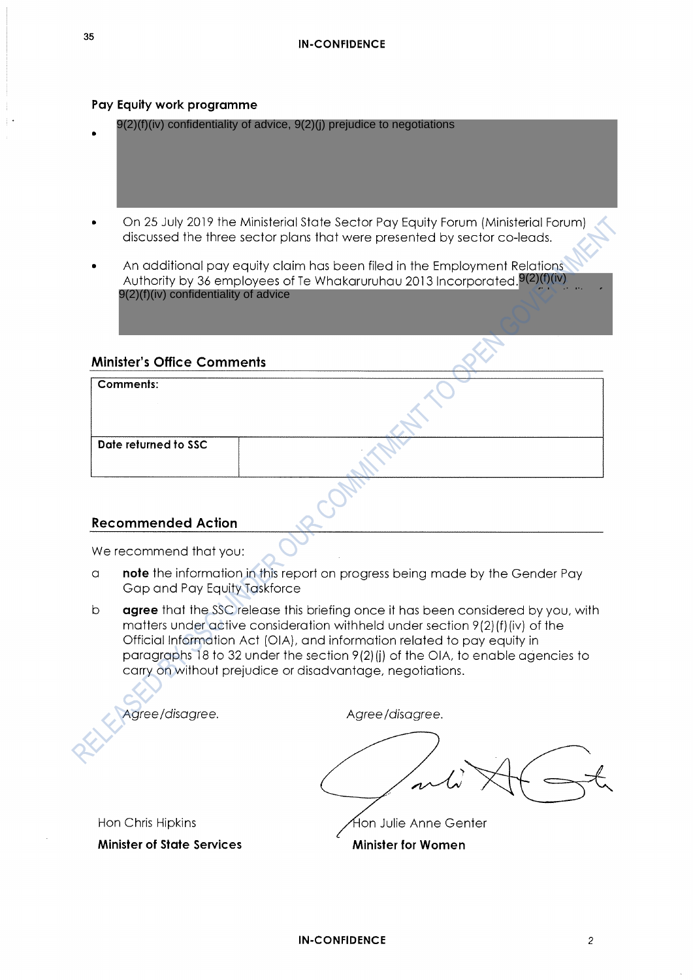#### Pay Equity work programme

- 9(2)(f)(iv) confidentiality of advice, 9(2)(j) prejudice to negotiations
- On 25 July 2019 the Ministerial State Sector Pay Equity Forum (Ministerial Forum) discussed the three sector plans that were presented by sector co-leads.
- An additional pay equity claim has been filed in the Employment Relations Authority by 36 employees of Te Whakaruruhau 2013 Incorporated  $9(2)(f)(iv)$ 9(2)(f)(iv) confidentiality of advice confidentiality of the confidentiality

#### **Minister's Office Comments**

| Comments:            |  |
|----------------------|--|
|                      |  |
| Date returned to SSC |  |
|                      |  |

### **Recommended Action**

We recommend that you:

- note the information in this report on progress being made by the Gender Pay  $\alpha$ Gap and Pay Equity Taskforce
- $\mathsf{b}$ agree that the SSC release this briefing once it has been considered by you, with matters under active consideration withheld under section 9(2)(f)(iv) of the Official Information Act (OIA), and information related to pay equity in paragraphs 18 to 32 under the section 9(2)(i) of the OIA, to enable agencies to carry on without prejudice or disadvantage, negotiations.

Agree/disagree.

Agree/disagree.

Hon Julie Anne Genter

**Minister for Women** 

Hon Chris Hipkins

**Minister of State Services**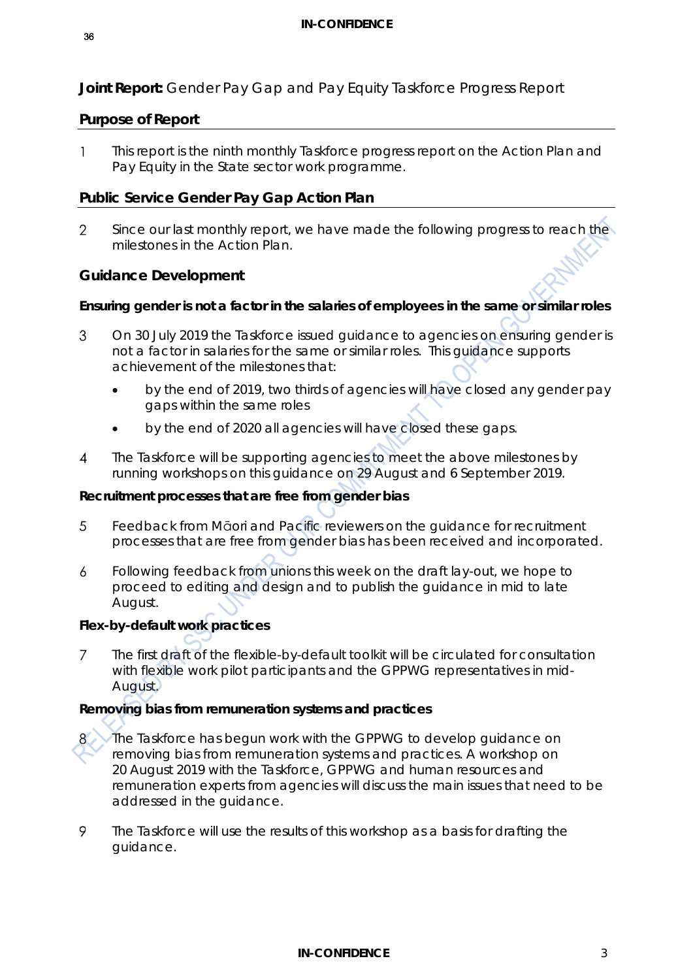**Joint Report:** Gender Pay Gap and Pay Equity Taskforce Progress Report

### **Purpose of Report**

This report is the ninth monthly Taskforce progress report on the Action Plan and  $\mathbf{1}$ Pay Equity in the State sector work programme.

### **Public Service Gender Pay Gap Action Plan**

 $\mathcal{P}$ Since our last monthly report, we have made the following progress to reach the milestones in the Action Plan.

### **Guidance Development**

### **Ensuring gender is not a factor in the salaries of employees in the same or similar roles**

- 3 On 30 July 2019 the Taskforce issued guidance to agencies on ensuring gender is not a factor in salaries for the same or similar roles. This guidance supports achievement of the milestones that:
	- by the end of 2019, two thirds of agencies will have closed any gender pay gaps within the same roles
	- by the end of 2020 all agencies will have closed these gaps.
- $\overline{A}$ The Taskforce will be supporting agencies to meet the above milestones by running workshops on this guidance on 29 August and 6 September 2019.

### **Recruitment processes that are free from gender bias**

- 5 Feedback from Māori and Pacific reviewers on the guidance for recruitment processes that are free from gender bias has been received and incorporated.
- Following feedback from unions this week on the draft lay-out, we hope to  $\overline{a}$ proceed to editing and design and to publish the guidance in mid to late August.

### **Flex-by-default work practices**

 $\overline{7}$ The first draft of the flexible-by-default toolkit will be circulated for consultation with flexible work pilot participants and the GPPWG representatives in mid-August.

### **Removing bias from remuneration systems and practices**

- 8 The Taskforce has begun work with the GPPWG to develop guidance on removing bias from remuneration systems and practices. A workshop on 20 August 2019 with the Taskforce, GPPWG and human resources and remuneration experts from agencies will discuss the main issues that need to be addressed in the guidance.
- 9 The Taskforce will use the results of this workshop as a basis for drafting the guidance.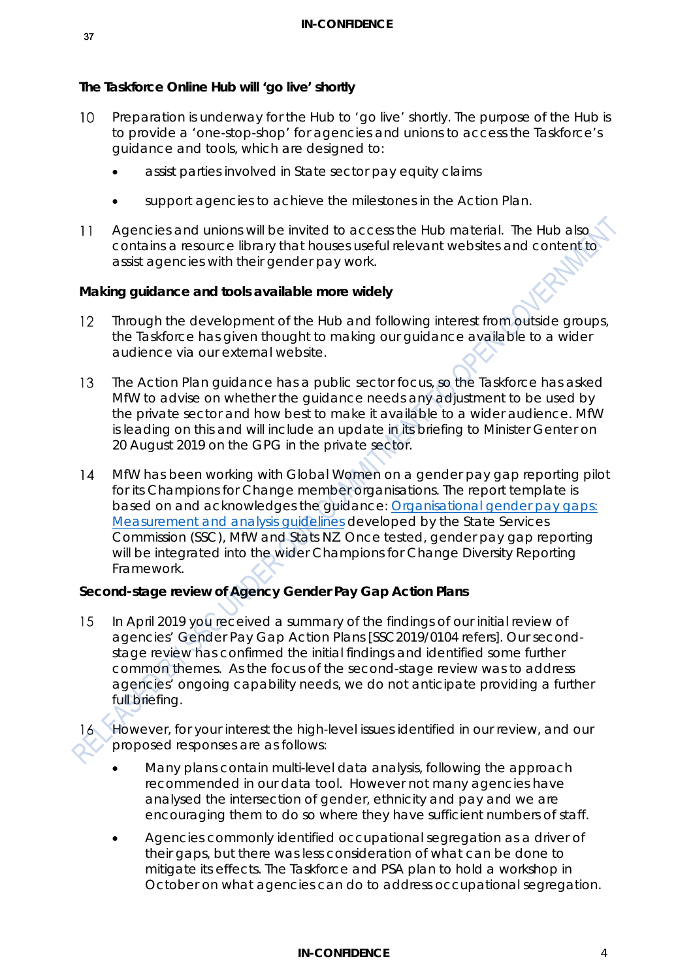### **The Taskforce Online Hub will 'go live' shortly**

- $10<sup>°</sup>$ Preparation is underway for the Hub to 'go live' shortly. The purpose of the Hub is to provide a 'one-stop-shop' for agencies and unions to access the Taskforce's guidance and tools, which are designed to:
	- assist parties involved in State sector pay equity claims
	- support agencies to achieve the milestones in the Action Plan.
- Agencies and unions will be invited to access the Hub material. The Hub also  $11$ contains a resource library that houses useful relevant websites and content to assist agencies with their gender pay work.

### **Making guidance and tools available more widely**

- Through the development of the Hub and following interest from outside groups,  $12<sup>°</sup>$ the Taskforce has given thought to making our guidance available to a wider audience via our external website.
- $13<sup>2</sup>$ The Action Plan guidance has a public sector focus, so the Taskforce has asked MfW to advise on whether the guidance needs any adjustment to be used by the private sector and how best to make it available to a wider audience. MfW is leading on this and will include an update in its briefing to Minister Genter on 20 August 2019 on the GPG in the private sector.
- $14$ MfW has been working with Global Women on a gender pay gap reporting pilot for its Champions for Change member organisations. The report template is based on and acknowledges the guidance: *[Organisational gender pay gaps:](https://www.stats.govt.nz/methods/organisational-gender-pay-gaps-measurement-and-analysis-guidelines)  [Measurement and analysis guidelines](https://www.stats.govt.nz/methods/organisational-gender-pay-gaps-measurement-and-analysis-guidelines)* developed by the State Services Commission (SSC), MfW and Stats NZ. Once tested, gender pay gap reporting will be integrated into the wider Champions for Change Diversity Reporting Framework.

# **Second-stage review of Agency Gender Pay Gap Action Plans**

- 15 In April 2019 you received a summary of the findings of our initial review of agencies' Gender Pay Gap Action Plans [SSC2019/0104 refers]. Our secondstage review has confirmed the initial findings and identified some further common themes. As the focus of the second-stage review was to address agencies' ongoing capability needs, we do not anticipate providing a further full briefing.
- However, for your interest the high-level issues identified in our review, and our proposed responses are as follows:
	- Many plans contain multi-level data analysis, following the approach recommended in our data tool. However not many agencies have analysed the intersection of gender, ethnicity and pay and we are encouraging them to do so where they have sufficient numbers of staff.
	- Agencies commonly identified occupational segregation as a driver of their gaps, but there was less consideration of what can be done to mitigate its effects. The Taskforce and PSA plan to hold a workshop in October on what agencies can do to address occupational segregation.

#### **IN-CONFIDENCE** 4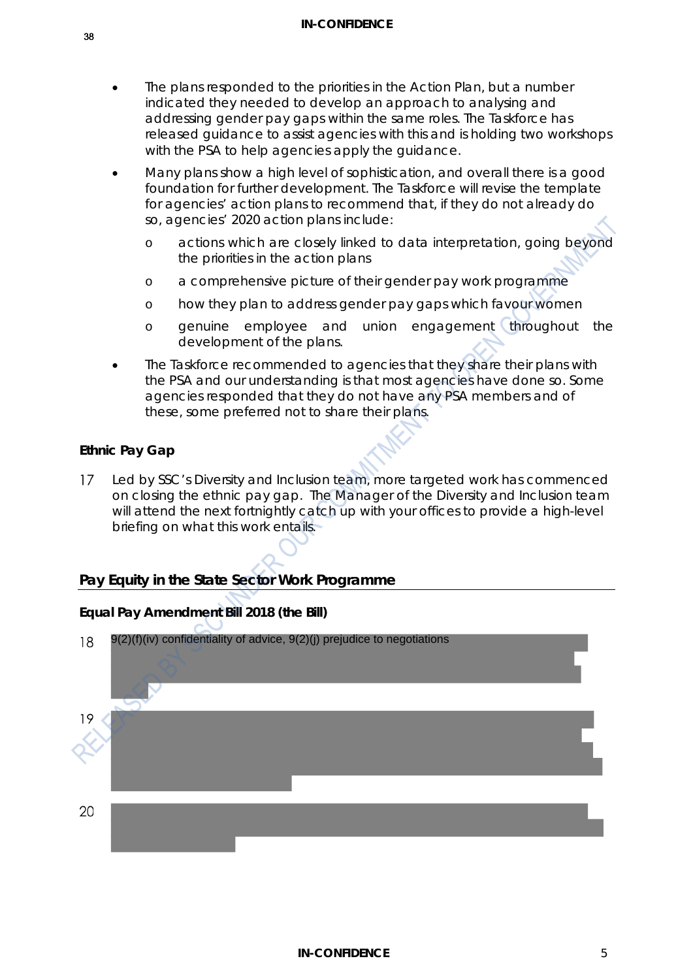- The plans responded to the priorities in the Action Plan, but a number indicated they needed to develop an approach to analysing and addressing gender pay gaps within the same roles. The Taskforce has released guidance to assist agencies with this and is holding two workshops with the PSA to help agencies apply the guidance.
- Many plans show a high level of sophistication, and overall there is a good foundation for further development. The Taskforce will revise the template for agencies' action plans to recommend that, if they do not already do so, agencies' 2020 action plans include:
	- o actions which are closely linked to data interpretation, going beyond the priorities in the action plans
	- o a comprehensive picture of their gender pay work programme
	- o how they plan to address gender pay gaps which favour women
	- o genuine employee and union engagement throughout the development of the plans.
- The Taskforce recommended to agencies that they share their plans with the PSA and our understanding is that most agencies have done so. Some agencies responded that they do not have any PSA members and of these, some preferred not to share their plans.

### **Ethnic Pay Gap**

 $17$ Led by SSC's Diversity and Inclusion team, more targeted work has commenced on closing the ethnic pay gap. The Manager of the Diversity and Inclusion team will attend the next fortnightly catch up with your offices to provide a high-level briefing on what this work entails.

# **Pay Equity in the State Sector Work Programme**

### **Equal Pay Amendment Bill 2018 (the Bill)**

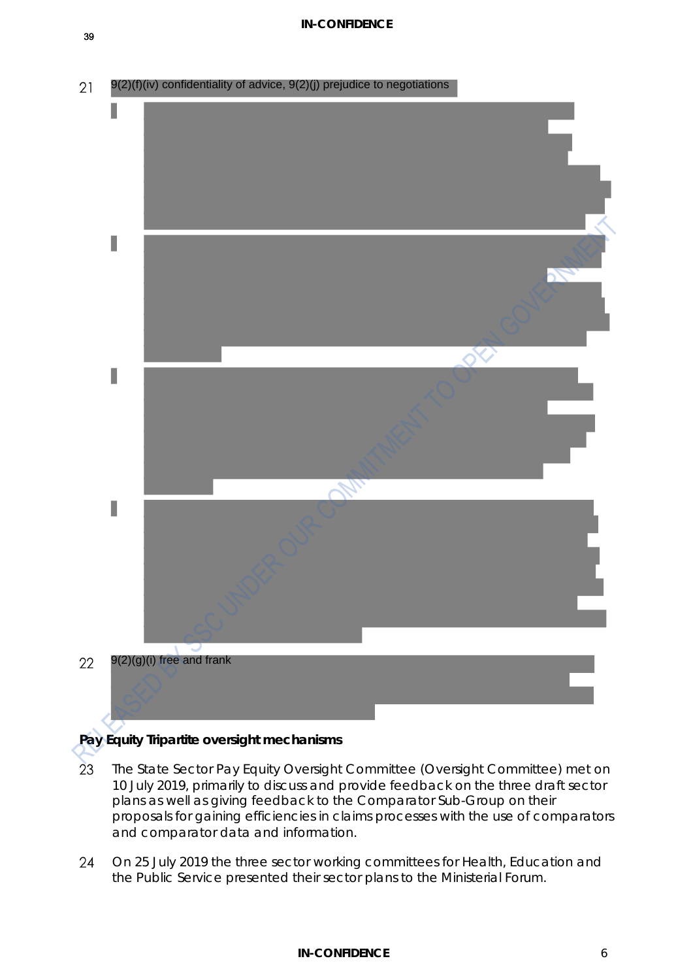39

9(2)(f)(iv) confidentiality of advice, 9(2)(j) prejudice to negotiations $21$ L  $\bullet$ ı I 9(2)(g)(i) free and frank 22

# **Pay Equity Tripartite oversight mechanisms**

- 23 The State Sector Pay Equity Oversight Committee (Oversight Committee) met on 10 July 2019, primarily to discuss and provide feedback on the three draft sector plans as well as giving feedback to the Comparator Sub-Group on their proposals for gaining efficiencies in claims processes with the use of comparators and comparator data and information.
- $24$ On 25 July 2019 the three sector working committees for Health, Education and the Public Service presented their sector plans to the Ministerial Forum.

### **IN-CONFIDENCE** 6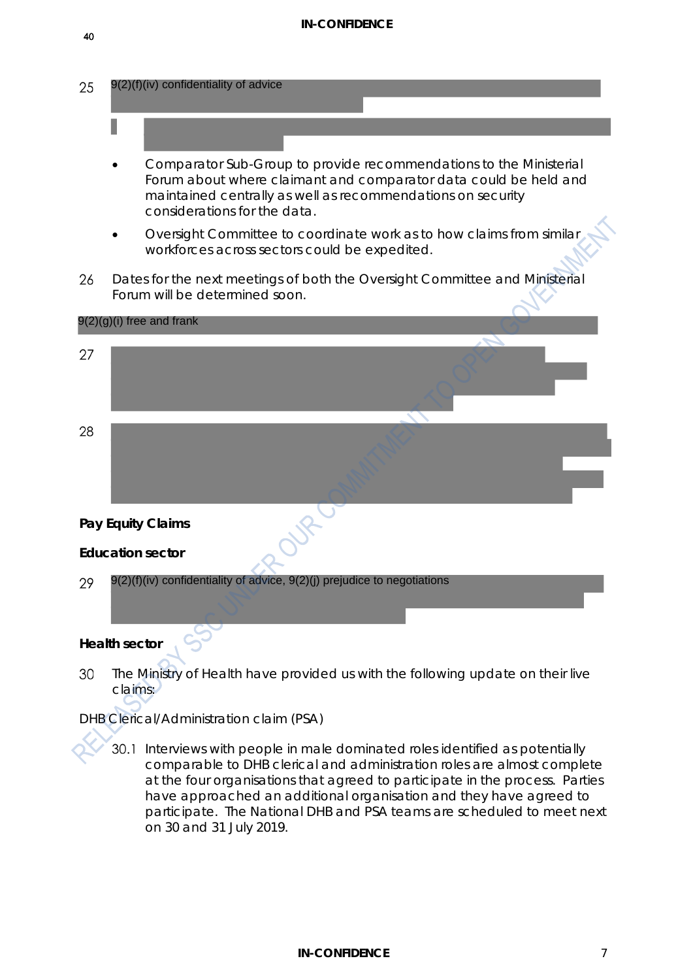#### **IN-CONFIDENCE**



- Forum about where claimant and comparator data could be held and maintained centrally as well as recommendations on security considerations for the data.
- Oversight Committee to coordinate work as to how claims from similar workforces across sectors could be expedited.
- Dates for the next meetings of both the Oversight Committee and Ministerial 26 Forum will be determined soon.



# *DHB Clerical/Administration claim (PSA)*

30.1 Interviews with people in male dominated roles identified as potentially comparable to DHB clerical and administration roles are almost complete at the four organisations that agreed to participate in the process. Parties have approached an additional organisation and they have agreed to participate. The National DHB and PSA teams are scheduled to meet next on 30 and 31 July 2019.